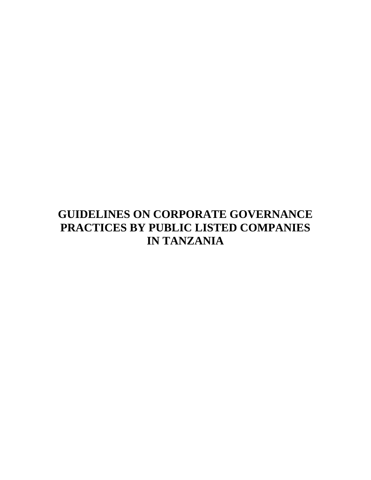# **GUIDELINES ON CORPORATE GOVERNANCE PRACTICES BY PUBLIC LISTED COMPANIES IN TANZANIA**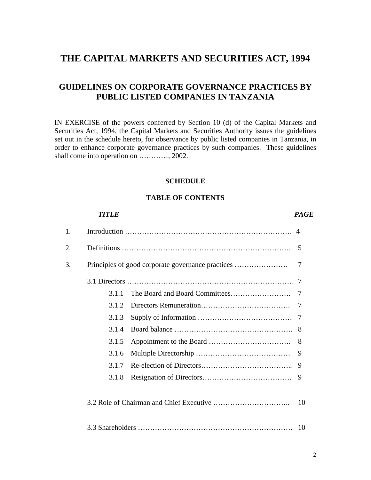## **THE CAPITAL MARKETS AND SECURITIES ACT, 1994**

## **GUIDELINES ON CORPORATE GOVERNANCE PRACTICES BY PUBLIC LISTED COMPANIES IN TANZANIA**

IN EXERCISE of the powers conferred by Section 10 (d) of the Capital Markets and Securities Act, 1994, the Capital Markets and Securities Authority issues the guidelines set out in the schedule hereto, for observance by public listed companies in Tanzania, in order to enhance corporate governance practices by such companies. These guidelines shall come into operation on …………, 2002.

#### **SCHEDULE**

#### **TABLE OF CONTENTS**

|    | TITLE |  | <b>PAGE</b> |
|----|-------|--|-------------|
| 1. |       |  |             |
| 2. |       |  | 5           |
| 3. |       |  | 7           |
|    |       |  | -7          |
|    | 3.1.1 |  | -7          |
|    | 3.1.2 |  | 7           |
|    | 3.1.3 |  | 7           |
|    | 3.1.4 |  | 8           |
|    | 3.1.5 |  | 8           |
|    | 3.1.6 |  | 9           |
|    | 3.1.7 |  | 9           |
|    | 3.1.8 |  | 9           |
|    |       |  | 10          |
|    |       |  | 10          |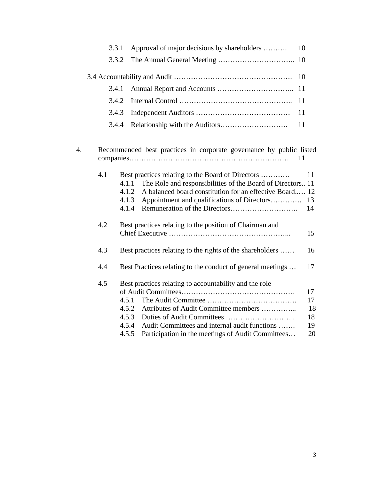|    | 3.3.1                                                                     | Approval of major decisions by shareholders                                                                                                                                                                                                                   | 10                               |  |  |  |
|----|---------------------------------------------------------------------------|---------------------------------------------------------------------------------------------------------------------------------------------------------------------------------------------------------------------------------------------------------------|----------------------------------|--|--|--|
|    | 3.3.2                                                                     |                                                                                                                                                                                                                                                               |                                  |  |  |  |
|    |                                                                           |                                                                                                                                                                                                                                                               | 10                               |  |  |  |
|    | 3.4.1                                                                     |                                                                                                                                                                                                                                                               | 11                               |  |  |  |
|    | 3.4.2                                                                     |                                                                                                                                                                                                                                                               | 11                               |  |  |  |
|    | 3.4.3                                                                     |                                                                                                                                                                                                                                                               | 11                               |  |  |  |
|    | 3.4.4                                                                     |                                                                                                                                                                                                                                                               | 11                               |  |  |  |
| 4. | Recommended best practices in corporate governance by public listed<br>11 |                                                                                                                                                                                                                                                               |                                  |  |  |  |
|    | 4.1                                                                       | Best practices relating to the Board of Directors<br>4.1.1<br>The Role and responsibilities of the Board of Directors 11<br>A balanced board constitution for an effective Board 12<br>4.1.2<br>4.1.3<br>Appointment and qualifications of Directors<br>4.1.4 | 11<br>13<br>14                   |  |  |  |
|    | 4.2<br>Best practices relating to the position of Chairman and            |                                                                                                                                                                                                                                                               |                                  |  |  |  |
|    | 4.3<br>Best practices relating to the rights of the shareholders          |                                                                                                                                                                                                                                                               | 16                               |  |  |  |
|    | 4.4<br>Best Practices relating to the conduct of general meetings         |                                                                                                                                                                                                                                                               |                                  |  |  |  |
|    | 4.5                                                                       | Best practices relating to accountability and the role<br>4.5.1<br>4.5.2<br>Attributes of Audit Committee members<br>4.5.3<br>4.5.4<br>Audit Committees and internal audit functions<br>Participation in the meetings of Audit Committees<br>4.5.5            | 17<br>17<br>18<br>18<br>19<br>20 |  |  |  |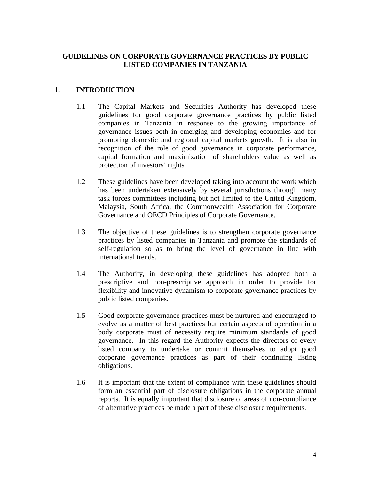## **GUIDELINES ON CORPORATE GOVERNANCE PRACTICES BY PUBLIC LISTED COMPANIES IN TANZANIA**

## **1. INTRODUCTION**

- 1.1 The Capital Markets and Securities Authority has developed these guidelines for good corporate governance practices by public listed companies in Tanzania in response to the growing importance of governance issues both in emerging and developing economies and for promoting domestic and regional capital markets growth. It is also in recognition of the role of good governance in corporate performance, capital formation and maximization of shareholders value as well as protection of investors' rights.
- 1.2 These guidelines have been developed taking into account the work which has been undertaken extensively by several jurisdictions through many task forces committees including but not limited to the United Kingdom, Malaysia, South Africa, the Commonwealth Association for Corporate Governance and OECD Principles of Corporate Governance.
- 1.3 The objective of these guidelines is to strengthen corporate governance practices by listed companies in Tanzania and promote the standards of self-regulation so as to bring the level of governance in line with international trends.
- 1.4 The Authority, in developing these guidelines has adopted both a prescriptive and non-prescriptive approach in order to provide for flexibility and innovative dynamism to corporate governance practices by public listed companies.
- 1.5 Good corporate governance practices must be nurtured and encouraged to evolve as a matter of best practices but certain aspects of operation in a body corporate must of necessity require minimum standards of good governance. In this regard the Authority expects the directors of every listed company to undertake or commit themselves to adopt good corporate governance practices as part of their continuing listing obligations.
- 1.6 It is important that the extent of compliance with these guidelines should form an essential part of disclosure obligations in the corporate annual reports. It is equally important that disclosure of areas of non-compliance of alternative practices be made a part of these disclosure requirements.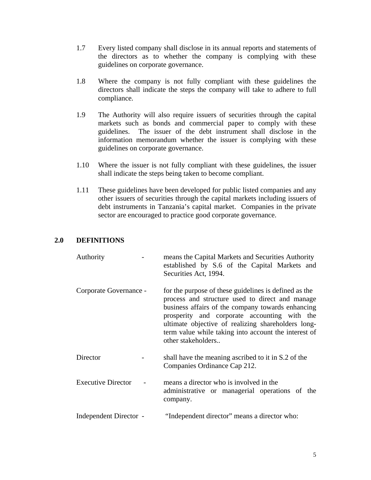- 1.7 Every listed company shall disclose in its annual reports and statements of the directors as to whether the company is complying with these guidelines on corporate governance.
- 1.8 Where the company is not fully compliant with these guidelines the directors shall indicate the steps the company will take to adhere to full compliance*.*
- 1.9 The Authority will also require issuers of securities through the capital markets such as bonds and commercial paper to comply with these guidelines. The issuer of the debt instrument shall disclose in the information memorandum whether the issuer is complying with these guidelines on corporate governance.
- 1.10 Where the issuer is not fully compliant with these guidelines, the issuer shall indicate the steps being taken to become compliant.
- 1.11 These guidelines have been developed for public listed companies and any other issuers of securities through the capital markets including issuers of debt instruments in Tanzania's capital market. Companies in the private sector are encouraged to practice good corporate governance.

## **2.0 DEFINITIONS**

| Authority              | means the Capital Markets and Securities Authority<br>established by S.6 of the Capital Markets and<br>Securities Act, 1994.                                                                                                                                                                                                                      |
|------------------------|---------------------------------------------------------------------------------------------------------------------------------------------------------------------------------------------------------------------------------------------------------------------------------------------------------------------------------------------------|
| Corporate Governance - | for the purpose of these guidelines is defined as the<br>process and structure used to direct and manage<br>business affairs of the company towards enhancing<br>prosperity and corporate accounting with the<br>ultimate objective of realizing shareholders long-<br>term value while taking into account the interest of<br>other stakeholders |
| Director               | shall have the meaning ascribed to it in S.2 of the<br>Companies Ordinance Cap 212.                                                                                                                                                                                                                                                               |
| Executive Director     | means a director who is involved in the<br>administrative or managerial operations of the<br>company.                                                                                                                                                                                                                                             |
| Independent Director - | "Independent director" means a director who:                                                                                                                                                                                                                                                                                                      |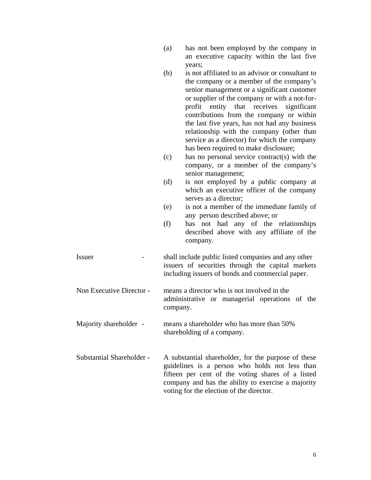| (a) | has not been employed by the company in    |  |  |  |  |
|-----|--------------------------------------------|--|--|--|--|
|     | an executive capacity within the last five |  |  |  |  |
|     | years;                                     |  |  |  |  |

- (b) is not affiliated to an advisor or consultant to the company or a member of the company's senior management or a significant customer or supplier of the company or with a not-forprofit entity that receives significant contributions from the company or within the last five years, has not had any business relationship with the company (other than service as a director) for which the company has been required to make disclosure;
- (c) has no personal service contract(s) with the company, or a member of the company's senior management;
- (d) is not employed by a public company at which an executive officer of the company serves as a director;
- (e) is not a member of the immediate family of any person described above; or
- (f) has not had any of the relationships described above with any affiliate of the company.

Issuer - shall include public listed companies and any other issuers of securities through the capital markets including issuers of bonds and commercial paper.

 Non Executive Director - means a director who is not involved in the administrative or managerial operations of the company.

- Majority shareholder means a shareholder who has more than 50% shareholding of a company.
- Substantial ShareholderA substantial shareholder, for the purpose of these guidelines is a person who holds not less than fifteen per cent of the voting shares of a listed company and has the ability to exercise a majority voting for the election of the director.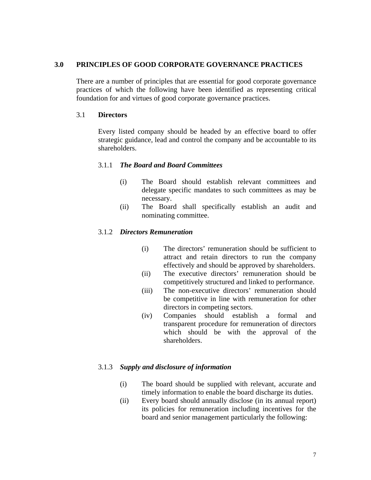#### **3.0 PRINCIPLES OF GOOD CORPORATE GOVERNANCE PRACTICES**

There are a number of principles that are essential for good corporate governance practices of which the following have been identified as representing critical foundation for and virtues of good corporate governance practices.

#### 3.1 **Directors**

Every listed company should be headed by an effective board to offer strategic guidance, lead and control the company and be accountable to its shareholders.

#### 3.1.1 *The Board and Board Committees*

- (i) The Board should establish relevant committees and delegate specific mandates to such committees as may be necessary.
- (ii) The Board shall specifically establish an audit and nominating committee.

#### 3.1.2 *Directors Remuneration*

- (i) The directors' remuneration should be sufficient to attract and retain directors to run the company effectively and should be approved by shareholders.
- (ii) The executive directors' remuneration should be competitively structured and linked to performance.
- (iii) The non-executive directors' remuneration should be competitive in line with remuneration for other directors in competing sectors.
- (iv) Companies should establish a formal and transparent procedure for remuneration of directors which should be with the approval of the shareholders.

#### 3.1.3 *Supply and disclosure of information*

- (i) The board should be supplied with relevant, accurate and timely information to enable the board discharge its duties.
- (ii) Every board should annually disclose (in its annual report) its policies for remuneration including incentives for the board and senior management particularly the following: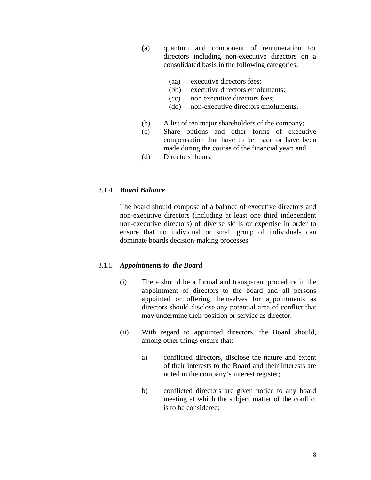- (a) quantum and component of remuneration for directors including non-executive directors on a consolidated basis in the following categories;
	- (aa) executive directors fees;
	- (bb) executive directors emoluments;
	- (cc) non executive directors fees;
	- (dd) non-executive directors emoluments.
- (b) A list of ten major shareholders of the company;
- (c) Share options and other forms of executive compensation that have to be made or have been made during the course of the financial year; and
- (d) Directors' loans.

#### 3.1.4 *Board Balance*

The board should compose of a balance of executive directors and non-executive directors (including at least one third independent non-executive directors) of diverse skills or expertise in order to ensure that no individual or small group of individuals can dominate boards decision-making processes.

#### 3.1.5 *Appointments to the Board*

- (i) There should be a formal and transparent procedure in the appointment of directors to the board and all persons appointed or offering themselves for appointments as directors should disclose any potential area of conflict that may undermine their position or service as director.
- (ii) With regard to appointed directors, the Board should, among other things ensure that:
	- a) conflicted directors, disclose the nature and extent of their interests to the Board and their interests are noted in the company's interest register;
	- b) conflicted directors are given notice to any board meeting at which the subject matter of the conflict is to be considered;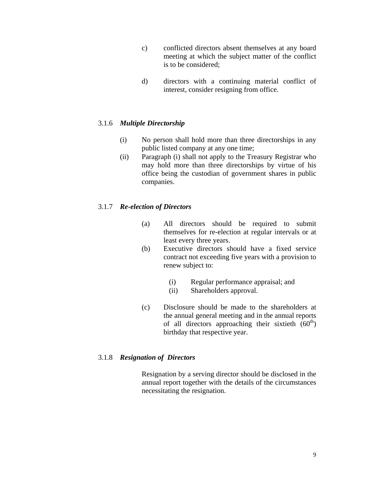- c) conflicted directors absent themselves at any board meeting at which the subject matter of the conflict is to be considered;
- d) directors with a continuing material conflict of interest, consider resigning from office.

## 3.1.6 *Multiple Directorship*

- (i) No person shall hold more than three directorships in any public listed company at any one time;
- (ii) Paragraph (i) shall not apply to the Treasury Registrar who may hold more than three directorships by virtue of his office being the custodian of government shares in public companies.

## 3.1.7 *Re-election of Directors*

- (a) All directors should be required to submit themselves for re-election at regular intervals or at least every three years.
- (b) Executive directors should have a fixed service contract not exceeding five years with a provision to renew subject to:
	- (i) Regular performance appraisal; and
	- (ii) Shareholders approval.
- (c) Disclosure should be made to the shareholders at the annual general meeting and in the annual reports of all directors approaching their sixtieth  $(60<sup>th</sup>)$ birthday that respective year.

## 3.1.8 *Resignation of Directors*

Resignation by a serving director should be disclosed in the annual report together with the details of the circumstances necessitating the resignation.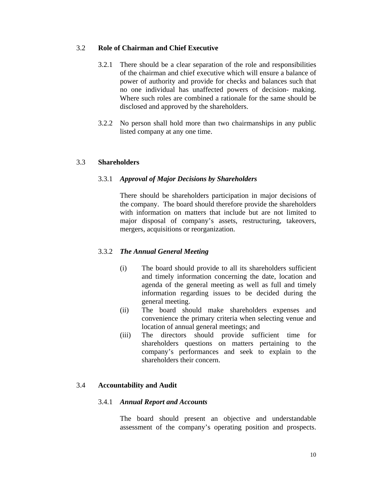#### 3.2 **Role of Chairman and Chief Executive**

- 3.2.1 There should be a clear separation of the role and responsibilities of the chairman and chief executive which will ensure a balance of power of authority and provide for checks and balances such that no one individual has unaffected powers of decision- making. Where such roles are combined a rationale for the same should be disclosed and approved by the shareholders.
- 3.2.2 No person shall hold more than two chairmanships in any public listed company at any one time.

## 3.3 **Shareholders**

#### 3.3.1 *Approval of Major Decisions by Shareholders*

There should be shareholders participation in major decisions of the company. The board should therefore provide the shareholders with information on matters that include but are not limited to major disposal of company's assets, restructuring, takeovers, mergers, acquisitions or reorganization.

## 3.3.2 *The Annual General Meeting*

- (i) The board should provide to all its shareholders sufficient and timely information concerning the date, location and agenda of the general meeting as well as full and timely information regarding issues to be decided during the general meeting.
- (ii) The board should make shareholders expenses and convenience the primary criteria when selecting venue and location of annual general meetings; and
- (iii) The directors should provide sufficient time for shareholders questions on matters pertaining to the company's performances and seek to explain to the shareholders their concern.

## 3.4 **Accountability and Audit**

#### 3.4.1 *Annual Report and Accounts*

The board should present an objective and understandable assessment of the company's operating position and prospects.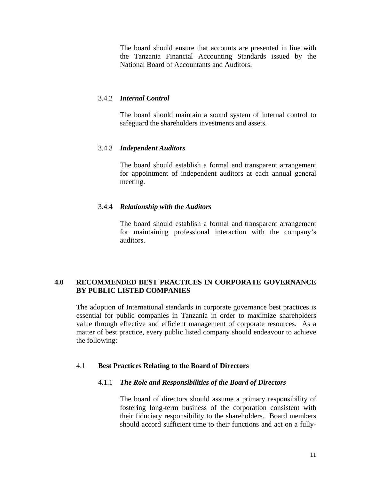The board should ensure that accounts are presented in line with the Tanzania Financial Accounting Standards issued by the National Board of Accountants and Auditors.

#### 3.4.2 *Internal Control*

The board should maintain a sound system of internal control to safeguard the shareholders investments and assets.

## 3.4.3 *Independent Auditors*

The board should establish a formal and transparent arrangement for appointment of independent auditors at each annual general meeting.

#### 3.4.4 *Relationship with the Auditors*

The board should establish a formal and transparent arrangement for maintaining professional interaction with the company's auditors.

## **4.0 RECOMMENDED BEST PRACTICES IN CORPORATE GOVERNANCE BY PUBLIC LISTED COMPANIES**

 The adoption of International standards in corporate governance best practices is essential for public companies in Tanzania in order to maximize shareholders value through effective and efficient management of corporate resources. As a matter of best practice, every public listed company should endeavour to achieve the following:

#### 4.1 **Best Practices Relating to the Board of Directors**

#### 4.1.1 *The Role and Responsibilities of the Board of Directors*

The board of directors should assume a primary responsibility of fostering long-term business of the corporation consistent with their fiduciary responsibility to the shareholders. Board members should accord sufficient time to their functions and act on a fully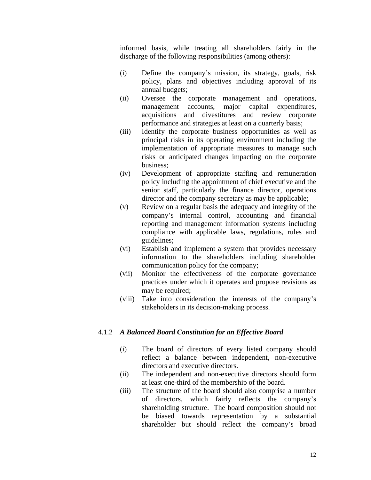informed basis, while treating all shareholders fairly in the discharge of the following responsibilities (among others):

- (i) Define the company's mission, its strategy, goals, risk policy, plans and objectives including approval of its annual budgets;
- (ii) Oversee the corporate management and operations, management accounts, major capital expenditures, acquisitions and divestitures and review corporate performance and strategies at least on a quarterly basis;
- (iii) Identify the corporate business opportunities as well as principal risks in its operating environment including the implementation of appropriate measures to manage such risks or anticipated changes impacting on the corporate business;
- (iv) Development of appropriate staffing and remuneration policy including the appointment of chief executive and the senior staff, particularly the finance director, operations director and the company secretary as may be applicable;
- (v) Review on a regular basis the adequacy and integrity of the company's internal control, accounting and financial reporting and management information systems including compliance with applicable laws, regulations, rules and guidelines;
- (vi) Establish and implement a system that provides necessary information to the shareholders including shareholder communication policy for the company;
- (vii) Monitor the effectiveness of the corporate governance practices under which it operates and propose revisions as may be required;
- (viii) Take into consideration the interests of the company's stakeholders in its decision-making process.

## 4.1.2 *A Balanced Board Constitution for an Effective Board*

- (i) The board of directors of every listed company should reflect a balance between independent, non-executive directors and executive directors.
- (ii) The independent and non-executive directors should form at least one-third of the membership of the board.
- (iii) The structure of the board should also comprise a number of directors, which fairly reflects the company's shareholding structure. The board composition should not be biased towards representation by a substantial shareholder but should reflect the company's broad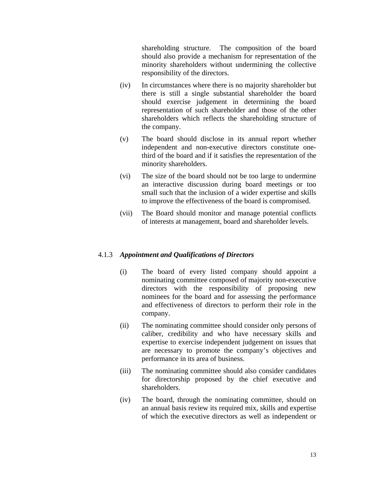shareholding structure. The composition of the board should also provide a mechanism for representation of the minority shareholders without undermining the collective responsibility of the directors.

- (iv) In circumstances where there is no majority shareholder but there is still a single substantial shareholder the board should exercise judgement in determining the board representation of such shareholder and those of the other shareholders which reflects the shareholding structure of the company.
- (v) The board should disclose in its annual report whether independent and non-executive directors constitute onethird of the board and if it satisfies the representation of the minority shareholders.
- (vi) The size of the board should not be too large to undermine an interactive discussion during board meetings or too small such that the inclusion of a wider expertise and skills to improve the effectiveness of the board is compromised.
- (vii) The Board should monitor and manage potential conflicts of interests at management, board and shareholder levels.

#### 4.1.3 *Appointment and Qualifications of Directors*

- (i) The board of every listed company should appoint a nominating committee composed of majority non-executive directors with the responsibility of proposing new nominees for the board and for assessing the performance and effectiveness of directors to perform their role in the company.
- (ii) The nominating committee should consider only persons of caliber, credibility and who have necessary skills and expertise to exercise independent judgement on issues that are necessary to promote the company's objectives and performance in its area of business.
- (iii) The nominating committee should also consider candidates for directorship proposed by the chief executive and shareholders.
- (iv) The board, through the nominating committee, should on an annual basis review its required mix, skills and expertise of which the executive directors as well as independent or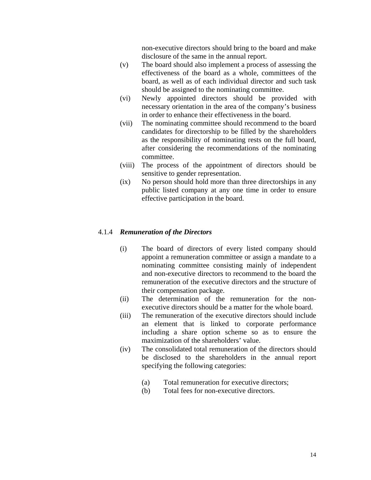non-executive directors should bring to the board and make disclosure of the same in the annual report.

- (v) The board should also implement a process of assessing the effectiveness of the board as a whole, committees of the board, as well as of each individual director and such task should be assigned to the nominating committee.
- (vi) Newly appointed directors should be provided with necessary orientation in the area of the company's business in order to enhance their effectiveness in the board.
- (vii) The nominating committee should recommend to the board candidates for directorship to be filled by the shareholders as the responsibility of nominating rests on the full board, after considering the recommendations of the nominating committee.
- (viii) The process of the appointment of directors should be sensitive to gender representation.
- (ix) No person should hold more than three directorships in any public listed company at any one time in order to ensure effective participation in the board.

#### 4.1.4 *Remuneration of the Directors*

- (i) The board of directors of every listed company should appoint a remuneration committee or assign a mandate to a nominating committee consisting mainly of independent and non-executive directors to recommend to the board the remuneration of the executive directors and the structure of their compensation package.
- (ii) The determination of the remuneration for the nonexecutive directors should be a matter for the whole board.
- (iii) The remuneration of the executive directors should include an element that is linked to corporate performance including a share option scheme so as to ensure the maximization of the shareholders' value.
- (iv) The consolidated total remuneration of the directors should be disclosed to the shareholders in the annual report specifying the following categories:
	- (a) Total remuneration for executive directors;
	- (b) Total fees for non-executive directors.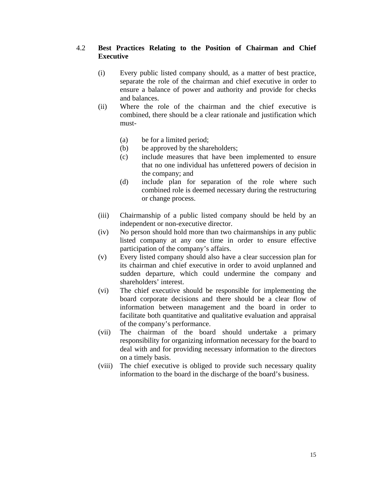### 4.2 **Best Practices Relating to the Position of Chairman and Chief Executive**

- (i) Every public listed company should, as a matter of best practice, separate the role of the chairman and chief executive in order to ensure a balance of power and authority and provide for checks and balances.
- (ii) Where the role of the chairman and the chief executive is combined, there should be a clear rationale and justification which must-
	- (a) be for a limited period;
	- (b) be approved by the shareholders;
	- (c) include measures that have been implemented to ensure that no one individual has unfettered powers of decision in the company; and
	- (d) include plan for separation of the role where such combined role is deemed necessary during the restructuring or change process.
- (iii) Chairmanship of a public listed company should be held by an independent or non-executive director.
- (iv) No person should hold more than two chairmanships in any public listed company at any one time in order to ensure effective participation of the company's affairs.
- (v) Every listed company should also have a clear succession plan for its chairman and chief executive in order to avoid unplanned and sudden departure, which could undermine the company and shareholders' interest.
- (vi) The chief executive should be responsible for implementing the board corporate decisions and there should be a clear flow of information between management and the board in order to facilitate both quantitative and qualitative evaluation and appraisal of the company's performance.
- (vii) The chairman of the board should undertake a primary responsibility for organizing information necessary for the board to deal with and for providing necessary information to the directors on a timely basis.
- (viii) The chief executive is obliged to provide such necessary quality information to the board in the discharge of the board's business.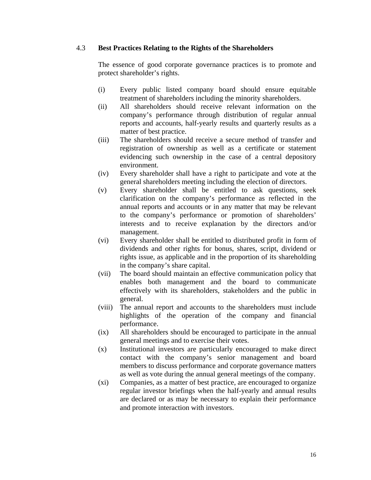#### 4.3 **Best Practices Relating to the Rights of the Shareholders**

The essence of good corporate governance practices is to promote and protect shareholder's rights.

- (i) Every public listed company board should ensure equitable treatment of shareholders including the minority shareholders.
- (ii) All shareholders should receive relevant information on the company's performance through distribution of regular annual reports and accounts, half-yearly results and quarterly results as a matter of best practice.
- (iii) The shareholders should receive a secure method of transfer and registration of ownership as well as a certificate or statement evidencing such ownership in the case of a central depository environment.
- (iv) Every shareholder shall have a right to participate and vote at the general shareholders meeting including the election of directors.
- (v) Every shareholder shall be entitled to ask questions, seek clarification on the company's performance as reflected in the annual reports and accounts or in any matter that may be relevant to the company's performance or promotion of shareholders' interests and to receive explanation by the directors and/or management.
- (vi) Every shareholder shall be entitled to distributed profit in form of dividends and other rights for bonus, shares, script, dividend or rights issue, as applicable and in the proportion of its shareholding in the company's share capital.
- (vii) The board should maintain an effective communication policy that enables both management and the board to communicate effectively with its shareholders, stakeholders and the public in general.
- (viii) The annual report and accounts to the shareholders must include highlights of the operation of the company and financial performance.
- (ix) All shareholders should be encouraged to participate in the annual general meetings and to exercise their votes.
- (x) Institutional investors are particularly encouraged to make direct contact with the company's senior management and board members to discuss performance and corporate governance matters as well as vote during the annual general meetings of the company.
- (xi) Companies, as a matter of best practice, are encouraged to organize regular investor briefings when the half-yearly and annual results are declared or as may be necessary to explain their performance and promote interaction with investors.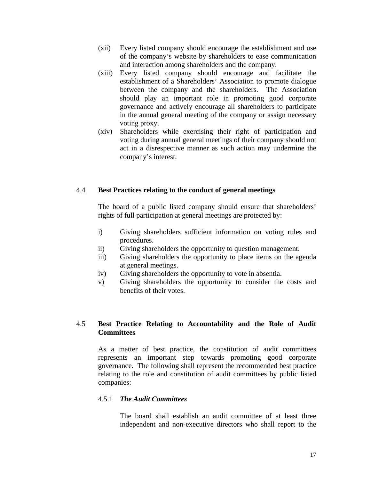- (xii) Every listed company should encourage the establishment and use of the company's website by shareholders to ease communication and interaction among shareholders and the company.
- (xiii) Every listed company should encourage and facilitate the establishment of a Shareholders' Association to promote dialogue between the company and the shareholders. The Association should play an important role in promoting good corporate governance and actively encourage all shareholders to participate in the annual general meeting of the company or assign necessary voting proxy.
- (xiv) Shareholders while exercising their right of participation and voting during annual general meetings of their company should not act in a disrespective manner as such action may undermine the company's interest.

#### 4.4 **Best Practices relating to the conduct of general meetings**

The board of a public listed company should ensure that shareholders' rights of full participation at general meetings are protected by:

- i) Giving shareholders sufficient information on voting rules and procedures.
- ii) Giving shareholders the opportunity to question management.
- iii) Giving shareholders the opportunity to place items on the agenda at general meetings.
- iv) Giving shareholders the opportunity to vote in absentia.
- v) Giving shareholders the opportunity to consider the costs and benefits of their votes.

## 4.5 **Best Practice Relating to Accountability and the Role of Audit Committees**

As a matter of best practice, the constitution of audit committees represents an important step towards promoting good corporate governance. The following shall represent the recommended best practice relating to the role and constitution of audit committees by public listed companies:

#### 4.5.1 *The Audit Committees*

The board shall establish an audit committee of at least three independent and non-executive directors who shall report to the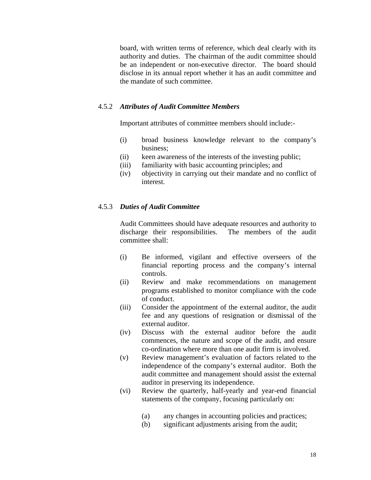board, with written terms of reference, which deal clearly with its authority and duties. The chairman of the audit committee should be an independent or non-executive director. The board should disclose in its annual report whether it has an audit committee and the mandate of such committee.

#### 4.5.2 *Attributes of Audit Committee Members*

Important attributes of committee members should include:-

- (i) broad business knowledge relevant to the company's business;
- (ii) keen awareness of the interests of the investing public;
- (iii) familiarity with basic accounting principles; and
- (iv) objectivity in carrying out their mandate and no conflict of interest.

#### 4.5.3 *Duties of Audit Committee*

Audit Committees should have adequate resources and authority to discharge their responsibilities. The members of the audit committee shall:

- (i) Be informed, vigilant and effective overseers of the financial reporting process and the company's internal controls.
- (ii) Review and make recommendations on management programs established to monitor compliance with the code of conduct.
- (iii) Consider the appointment of the external auditor, the audit fee and any questions of resignation or dismissal of the external auditor.
- (iv) Discuss with the external auditor before the audit commences, the nature and scope of the audit, and ensure co-ordination where more than one audit firm is involved.
- (v) Review management's evaluation of factors related to the independence of the company's external auditor. Both the audit committee and management should assist the external auditor in preserving its independence.
- (vi) Review the quarterly, half-yearly and year-end financial statements of the company, focusing particularly on:
	- (a) any changes in accounting policies and practices;
	- (b) significant adjustments arising from the audit;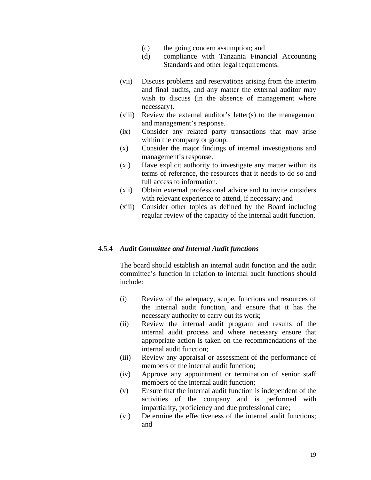- (c) the going concern assumption; and
- (d) compliance with Tanzania Financial Accounting Standards and other legal requirements.
- (vii) Discuss problems and reservations arising from the interim and final audits, and any matter the external auditor may wish to discuss (in the absence of management where necessary).
- (viii) Review the external auditor's letter(s) to the management and management's response.
- (ix) Consider any related party transactions that may arise within the company or group.
- (x) Consider the major findings of internal investigations and management's response.
- (xi) Have explicit authority to investigate any matter within its terms of reference, the resources that it needs to do so and full access to information.
- (xii) Obtain external professional advice and to invite outsiders with relevant experience to attend, if necessary; and
- (xiii) Consider other topics as defined by the Board including regular review of the capacity of the internal audit function.

#### 4.5.4 *Audit Committee and Internal Audit functions*

The board should establish an internal audit function and the audit committee's function in relation to internal audit functions should include:

- (i) Review of the adequacy, scope, functions and resources of the internal audit function, and ensure that it has the necessary authority to carry out its work;
- (ii) Review the internal audit program and results of the internal audit process and where necessary ensure that appropriate action is taken on the recommendations of the internal audit function;
- (iii) Review any appraisal or assessment of the performance of members of the internal audit function;
- (iv) Approve any appointment or termination of senior staff members of the internal audit function;
- (v) Ensure that the internal audit function is independent of the activities of the company and is performed with impartiality, proficiency and due professional care;
- (vi) Determine the effectiveness of the internal audit functions; and